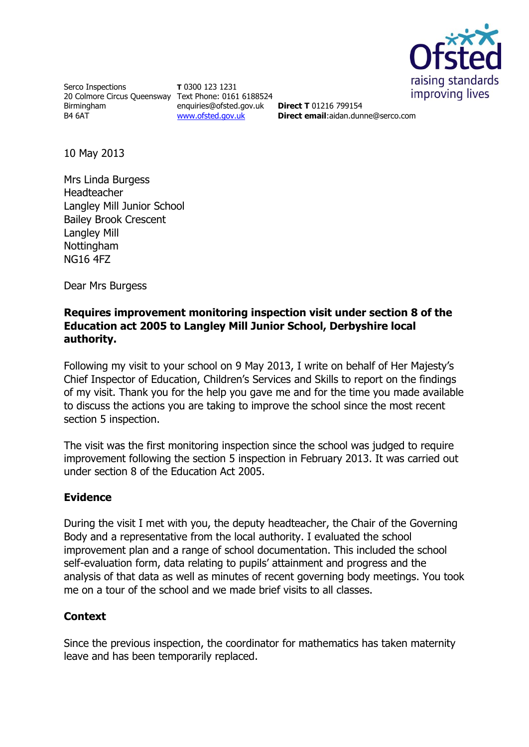

Serco Inspections 20 Colmore Circus Queensway Text Phone: 0161 6188524 Birmingham B4 6AT

**T** 0300 123 1231 enquiries@ofsted.gov.uk [www.ofsted.gov.uk](http://www.ofsted.gov.uk/)

**Direct T** 01216 799154 **Direct email**:aidan.dunne@serco.com

10 May 2013

Mrs Linda Burgess Headteacher Langley Mill Junior School Bailey Brook Crescent Langley Mill Nottingham NG16 4FZ

Dear Mrs Burgess

## **Requires improvement monitoring inspection visit under section 8 of the Education act 2005 to Langley Mill Junior School, Derbyshire local authority.**

Following my visit to your school on 9 May 2013, I write on behalf of Her Majesty's Chief Inspector of Education, Children's Services and Skills to report on the findings of my visit. Thank you for the help you gave me and for the time you made available to discuss the actions you are taking to improve the school since the most recent section 5 inspection.

The visit was the first monitoring inspection since the school was judged to require improvement following the section 5 inspection in February 2013. It was carried out under section 8 of the Education Act 2005.

## **Evidence**

During the visit I met with you, the deputy headteacher, the Chair of the Governing Body and a representative from the local authority. I evaluated the school improvement plan and a range of school documentation. This included the school self-evaluation form, data relating to pupils' attainment and progress and the analysis of that data as well as minutes of recent governing body meetings. You took me on a tour of the school and we made brief visits to all classes.

## **Context**

Since the previous inspection, the coordinator for mathematics has taken maternity leave and has been temporarily replaced.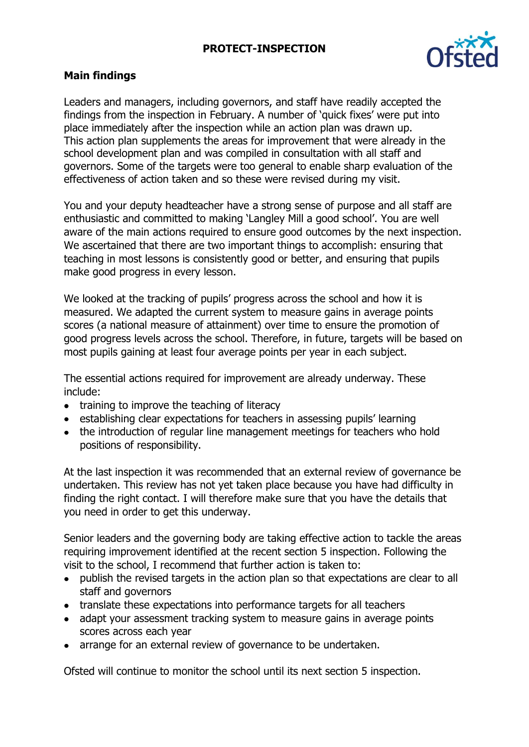# **PROTECT-INSPECTION**



## **Main findings**

Leaders and managers, including governors, and staff have readily accepted the findings from the inspection in February. A number of 'quick fixes' were put into place immediately after the inspection while an action plan was drawn up. This action plan supplements the areas for improvement that were already in the school development plan and was compiled in consultation with all staff and governors. Some of the targets were too general to enable sharp evaluation of the effectiveness of action taken and so these were revised during my visit.

You and your deputy headteacher have a strong sense of purpose and all staff are enthusiastic and committed to making 'Langley Mill a good school'. You are well aware of the main actions required to ensure good outcomes by the next inspection. We ascertained that there are two important things to accomplish: ensuring that teaching in most lessons is consistently good or better, and ensuring that pupils make good progress in every lesson.

We looked at the tracking of pupils' progress across the school and how it is measured. We adapted the current system to measure gains in average points scores (a national measure of attainment) over time to ensure the promotion of good progress levels across the school. Therefore, in future, targets will be based on most pupils gaining at least four average points per year in each subject.

The essential actions required for improvement are already underway. These include:

- training to improve the teaching of literacy
- establishing clear expectations for teachers in assessing pupils' learning
- the introduction of regular line management meetings for teachers who hold positions of responsibility.

At the last inspection it was recommended that an external review of governance be undertaken. This review has not yet taken place because you have had difficulty in finding the right contact. I will therefore make sure that you have the details that you need in order to get this underway.

Senior leaders and the governing body are taking effective action to tackle the areas requiring improvement identified at the recent section 5 inspection. Following the visit to the school, I recommend that further action is taken to:

- publish the revised targets in the action plan so that expectations are clear to all staff and governors
- translate these expectations into performance targets for all teachers
- adapt your assessment tracking system to measure gains in average points scores across each year
- arrange for an external review of governance to be undertaken.

Ofsted will continue to monitor the school until its next section 5 inspection.